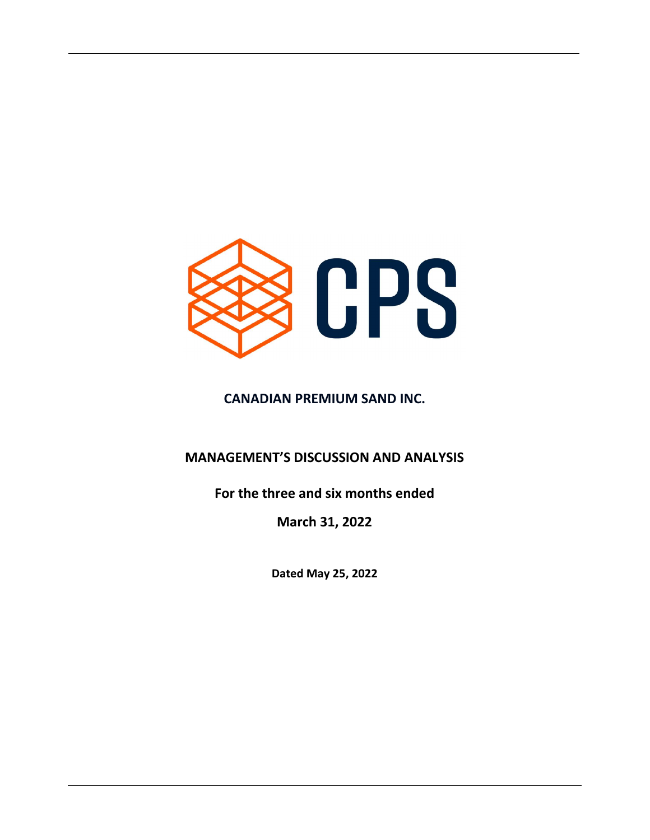

# CANADIAN PREMIUM SAND INC.

# MANAGEMENT'S DISCUSSION AND ANALYSIS

# For the three and six months ended

March 31, 2022

Dated May 25, 2022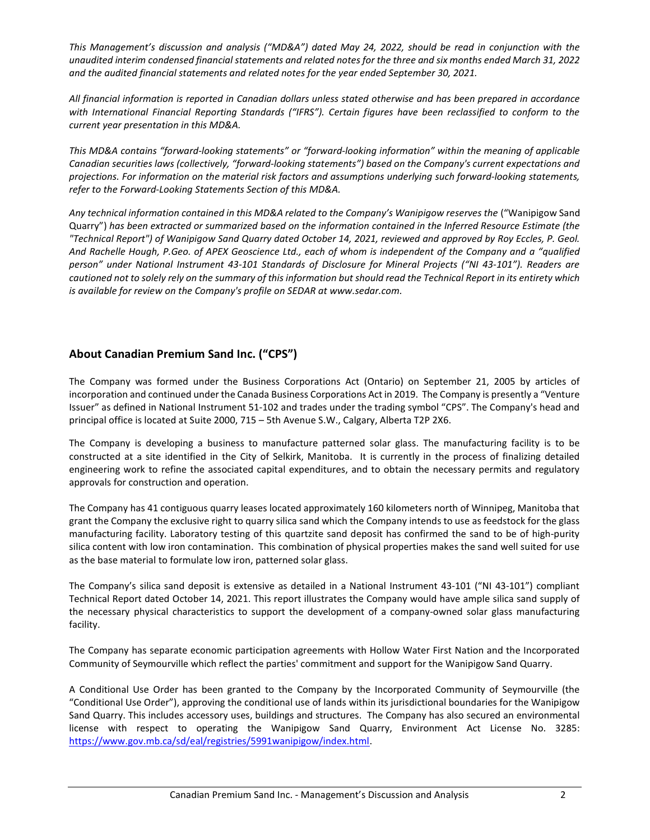This Management's discussion and analysis ("MD&A") dated May 24, 2022, should be read in conjunction with the unaudited interim condensed financial statements and related notes for the three and six months ended March 31, 2022 and the audited financial statements and related notes for the year ended September 30, 2021.

All financial information is reported in Canadian dollars unless stated otherwise and has been prepared in accordance with International Financial Reporting Standards ("IFRS"). Certain figures have been reclassified to conform to the current year presentation in this MD&A.

This MD&A contains "forward-looking statements" or "forward-looking information" within the meaning of applicable Canadian securities laws (collectively, "forward-looking statements") based on the Company's current expectations and projections. For information on the material risk factors and assumptions underlying such forward-looking statements, refer to the Forward-Looking Statements Section of this MD&A.

Any technical information contained in this MD&A related to the Company's Wanipigow reserves the ("Wanipigow Sand Quarry") has been extracted or summarized based on the information contained in the Inferred Resource Estimate (the "Technical Report") of Wanipigow Sand Quarry dated October 14, 2021, reviewed and approved by Roy Eccles, P. Geol. And Rachelle Hough, P.Geo. of APEX Geoscience Ltd., each of whom is independent of the Company and a "qualified person" under National Instrument 43-101 Standards of Disclosure for Mineral Projects ("NI 43-101"). Readers are cautioned not to solely rely on the summary of this information but should read the Technical Report in its entirety which is available for review on the Company's profile on SEDAR at www.sedar.com.

## About Canadian Premium Sand Inc. ("CPS")

The Company was formed under the Business Corporations Act (Ontario) on September 21, 2005 by articles of incorporation and continued under the Canada Business Corporations Act in 2019. The Company is presently a "Venture Issuer" as defined in National Instrument 51-102 and trades under the trading symbol "CPS". The Company's head and principal office is located at Suite 2000, 715 – 5th Avenue S.W., Calgary, Alberta T2P 2X6.

The Company is developing a business to manufacture patterned solar glass. The manufacturing facility is to be constructed at a site identified in the City of Selkirk, Manitoba. It is currently in the process of finalizing detailed engineering work to refine the associated capital expenditures, and to obtain the necessary permits and regulatory approvals for construction and operation.

The Company has 41 contiguous quarry leases located approximately 160 kilometers north of Winnipeg, Manitoba that grant the Company the exclusive right to quarry silica sand which the Company intends to use as feedstock for the glass manufacturing facility. Laboratory testing of this quartzite sand deposit has confirmed the sand to be of high-purity silica content with low iron contamination. This combination of physical properties makes the sand well suited for use as the base material to formulate low iron, patterned solar glass.

The Company's silica sand deposit is extensive as detailed in a National Instrument 43-101 ("NI 43-101") compliant Technical Report dated October 14, 2021. This report illustrates the Company would have ample silica sand supply of the necessary physical characteristics to support the development of a company-owned solar glass manufacturing facility.

The Company has separate economic participation agreements with Hollow Water First Nation and the Incorporated Community of Seymourville which reflect the parties' commitment and support for the Wanipigow Sand Quarry.

A Conditional Use Order has been granted to the Company by the Incorporated Community of Seymourville (the "Conditional Use Order"), approving the conditional use of lands within its jurisdictional boundaries for the Wanipigow Sand Quarry. This includes accessory uses, buildings and structures. The Company has also secured an environmental license with respect to operating the Wanipigow Sand Quarry, Environment Act License No. 3285: https://www.gov.mb.ca/sd/eal/registries/5991wanipigow/index.html.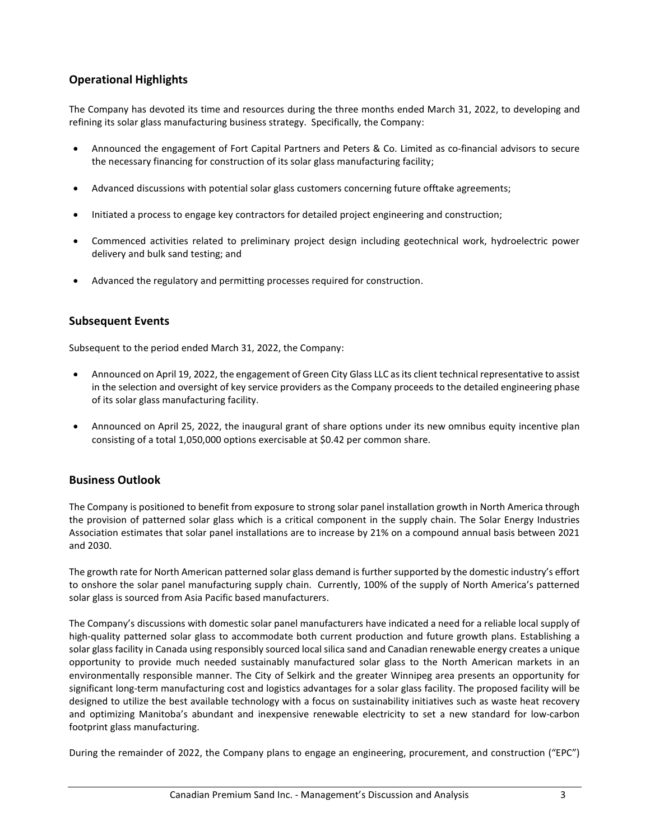## Operational Highlights

The Company has devoted its time and resources during the three months ended March 31, 2022, to developing and refining its solar glass manufacturing business strategy. Specifically, the Company:

- Announced the engagement of Fort Capital Partners and Peters & Co. Limited as co-financial advisors to secure the necessary financing for construction of its solar glass manufacturing facility;
- Advanced discussions with potential solar glass customers concerning future offtake agreements;
- Initiated a process to engage key contractors for detailed project engineering and construction;
- Commenced activities related to preliminary project design including geotechnical work, hydroelectric power delivery and bulk sand testing; and
- Advanced the regulatory and permitting processes required for construction.

## Subsequent Events

Subsequent to the period ended March 31, 2022, the Company:

- Announced on April 19, 2022, the engagement of Green City Glass LLC as its client technical representative to assist in the selection and oversight of key service providers as the Company proceeds to the detailed engineering phase of its solar glass manufacturing facility.
- Announced on April 25, 2022, the inaugural grant of share options under its new omnibus equity incentive plan consisting of a total 1,050,000 options exercisable at \$0.42 per common share.

## Business Outlook

The Company is positioned to benefit from exposure to strong solar panel installation growth in North America through the provision of patterned solar glass which is a critical component in the supply chain. The Solar Energy Industries Association estimates that solar panel installations are to increase by 21% on a compound annual basis between 2021 and 2030.

The growth rate for North American patterned solar glass demand is further supported by the domestic industry's effort to onshore the solar panel manufacturing supply chain. Currently, 100% of the supply of North America's patterned solar glass is sourced from Asia Pacific based manufacturers.

The Company's discussions with domestic solar panel manufacturers have indicated a need for a reliable local supply of high-quality patterned solar glass to accommodate both current production and future growth plans. Establishing a solar glass facility in Canada using responsibly sourced local silica sand and Canadian renewable energy creates a unique opportunity to provide much needed sustainably manufactured solar glass to the North American markets in an environmentally responsible manner. The City of Selkirk and the greater Winnipeg area presents an opportunity for significant long-term manufacturing cost and logistics advantages for a solar glass facility. The proposed facility will be designed to utilize the best available technology with a focus on sustainability initiatives such as waste heat recovery and optimizing Manitoba's abundant and inexpensive renewable electricity to set a new standard for low-carbon footprint glass manufacturing.

During the remainder of 2022, the Company plans to engage an engineering, procurement, and construction ("EPC")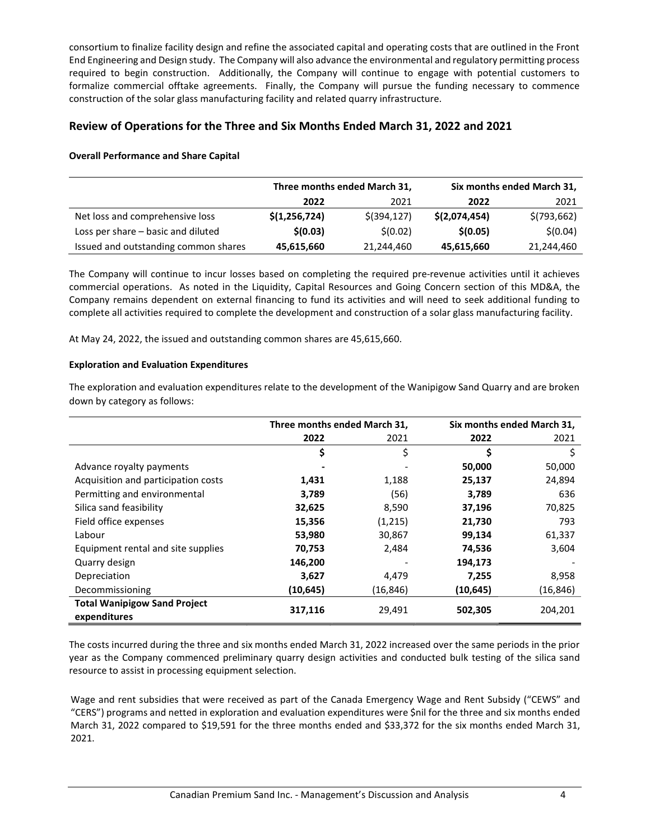consortium to finalize facility design and refine the associated capital and operating costs that are outlined in the Front End Engineering and Design study. The Company will also advance the environmental and regulatory permitting process required to begin construction. Additionally, the Company will continue to engage with potential customers to formalize commercial offtake agreements. Finally, the Company will pursue the funding necessary to commence construction of the solar glass manufacturing facility and related quarry infrastructure.

## Review of Operations for the Three and Six Months Ended March 31, 2022 and 2021

#### Overall Performance and Share Capital

|                                      |               | Three months ended March 31, | Six months ended March 31, |              |  |
|--------------------------------------|---------------|------------------------------|----------------------------|--------------|--|
|                                      | 2022          | 2021                         | 2022                       | 2021         |  |
| Net loss and comprehensive loss      | \$(1,256,724) | $$$ (394,127)                | \$(2,074,454)              | \$(793, 662) |  |
| Loss per share - basic and diluted   | \$(0.03)      | \$(0.02)                     | \$(0.05)                   | \$(0.04)     |  |
| Issued and outstanding common shares | 45,615,660    | 21,244,460                   | 45,615,660                 | 21,244,460   |  |

The Company will continue to incur losses based on completing the required pre-revenue activities until it achieves commercial operations. As noted in the Liquidity, Capital Resources and Going Concern section of this MD&A, the Company remains dependent on external financing to fund its activities and will need to seek additional funding to complete all activities required to complete the development and construction of a solar glass manufacturing facility.

At May 24, 2022, the issued and outstanding common shares are 45,615,660.

#### Exploration and Evaluation Expenditures

The exploration and evaluation expenditures relate to the development of the Wanipigow Sand Quarry and are broken down by category as follows:

|                                                     | Three months ended March 31, |          | Six months ended March 31, |           |
|-----------------------------------------------------|------------------------------|----------|----------------------------|-----------|
|                                                     | 2022                         | 2021     | 2022                       | 2021      |
|                                                     | \$                           | \$       | \$                         | \$        |
| Advance royalty payments                            |                              |          | 50,000                     | 50,000    |
| Acquisition and participation costs                 | 1,431                        | 1,188    | 25,137                     | 24,894    |
| Permitting and environmental                        | 3,789                        | (56)     | 3.789                      | 636       |
| Silica sand feasibility                             | 32,625                       | 8,590    | 37,196                     | 70,825    |
| Field office expenses                               | 15,356                       | (1,215)  | 21,730                     | 793       |
| Labour                                              | 53,980                       | 30,867   | 99,134                     | 61,337    |
| Equipment rental and site supplies                  | 70,753                       | 2,484    | 74,536                     | 3,604     |
| Quarry design                                       | 146,200                      |          | 194,173                    |           |
| Depreciation                                        | 3,627                        | 4,479    | 7,255                      | 8,958     |
| Decommissioning                                     | (10, 645)                    | (16,846) | (10,645)                   | (16, 846) |
| <b>Total Wanipigow Sand Project</b><br>expenditures | 317,116                      | 29,491   | 502,305                    | 204,201   |

The costs incurred during the three and six months ended March 31, 2022 increased over the same periods in the prior year as the Company commenced preliminary quarry design activities and conducted bulk testing of the silica sand resource to assist in processing equipment selection.

Wage and rent subsidies that were received as part of the Canada Emergency Wage and Rent Subsidy ("CEWS" and "CERS") programs and netted in exploration and evaluation expenditures were \$nil for the three and six months ended March 31, 2022 compared to \$19,591 for the three months ended and \$33,372 for the six months ended March 31, 2021.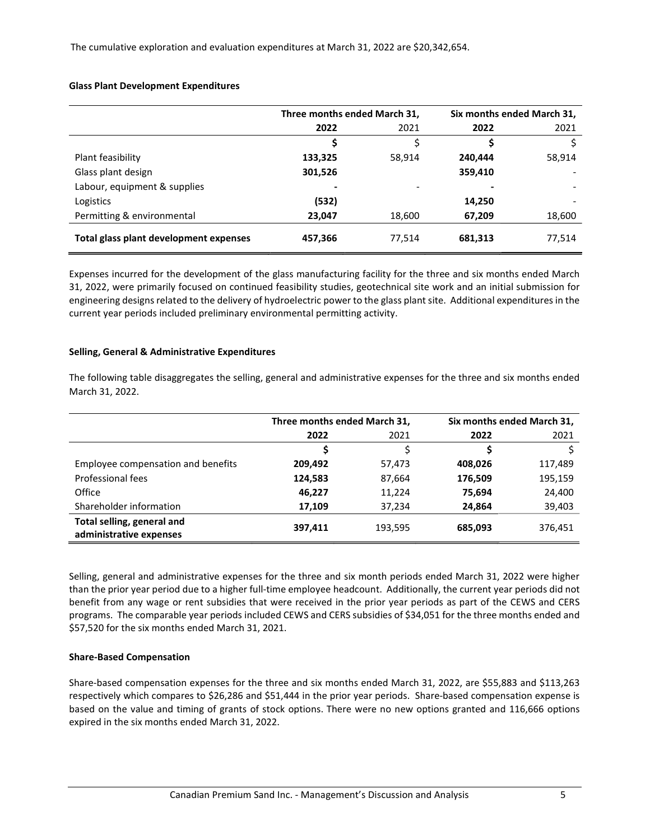The cumulative exploration and evaluation expenditures at March 31, 2022 are \$20,342,654.

#### Glass Plant Development Expenditures

|                                        | Three months ended March 31, |        | Six months ended March 31, |        |  |
|----------------------------------------|------------------------------|--------|----------------------------|--------|--|
|                                        | 2022                         | 2021   | 2022                       | 2021   |  |
|                                        | \$                           | \$     |                            |        |  |
| Plant feasibility                      | 133,325                      | 58,914 | 240,444                    | 58,914 |  |
| Glass plant design                     | 301,526                      |        | 359,410                    |        |  |
| Labour, equipment & supplies           | ۰                            |        |                            |        |  |
| Logistics                              | (532)                        |        | 14,250                     |        |  |
| Permitting & environmental             | 23,047                       | 18,600 | 67,209                     | 18,600 |  |
| Total glass plant development expenses | 457,366                      | 77,514 | 681,313                    | 77,514 |  |

Expenses incurred for the development of the glass manufacturing facility for the three and six months ended March 31, 2022, were primarily focused on continued feasibility studies, geotechnical site work and an initial submission for engineering designs related to the delivery of hydroelectric power to the glass plant site. Additional expenditures in the current year periods included preliminary environmental permitting activity.

#### Selling, General & Administrative Expenditures

The following table disaggregates the selling, general and administrative expenses for the three and six months ended March 31, 2022.

|                                                       | Three months ended March 31, |         |         | Six months ended March 31, |  |
|-------------------------------------------------------|------------------------------|---------|---------|----------------------------|--|
|                                                       | 2022                         | 2021    | 2022    | 2021                       |  |
|                                                       |                              |         |         |                            |  |
| Employee compensation and benefits                    | 209,492                      | 57,473  | 408,026 | 117,489                    |  |
| Professional fees                                     | 124,583                      | 87,664  | 176,509 | 195,159                    |  |
| Office                                                | 46,227                       | 11,224  | 75,694  | 24,400                     |  |
| Shareholder information                               | 17,109                       | 37,234  | 24,864  | 39,403                     |  |
| Total selling, general and<br>administrative expenses | 397,411                      | 193,595 | 685,093 | 376,451                    |  |

Selling, general and administrative expenses for the three and six month periods ended March 31, 2022 were higher than the prior year period due to a higher full-time employee headcount. Additionally, the current year periods did not benefit from any wage or rent subsidies that were received in the prior year periods as part of the CEWS and CERS programs. The comparable year periods included CEWS and CERS subsidies of \$34,051 for the three months ended and \$57,520 for the six months ended March 31, 2021.

#### Share-Based Compensation

Share-based compensation expenses for the three and six months ended March 31, 2022, are \$55,883 and \$113,263 respectively which compares to \$26,286 and \$51,444 in the prior year periods. Share-based compensation expense is based on the value and timing of grants of stock options. There were no new options granted and 116,666 options expired in the six months ended March 31, 2022.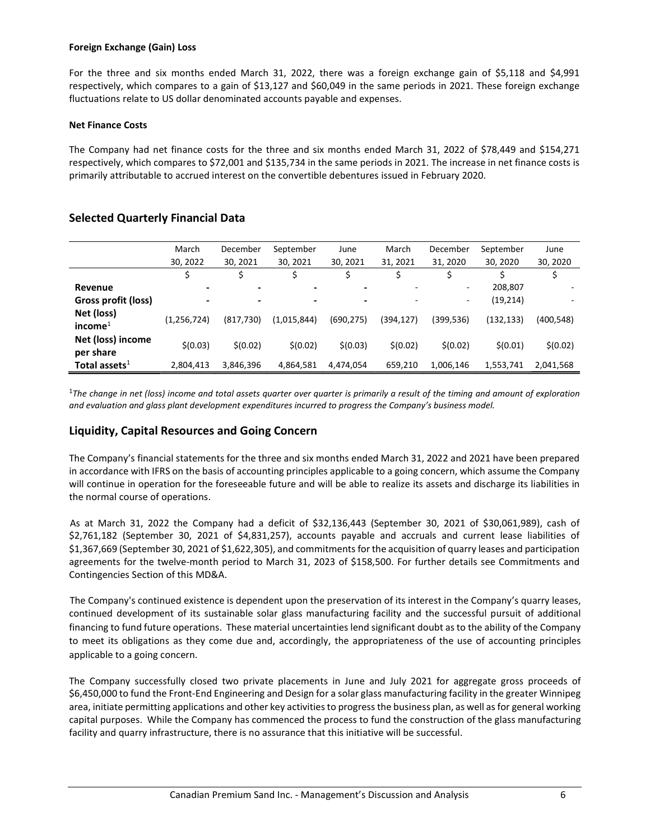#### Foreign Exchange (Gain) Loss

For the three and six months ended March 31, 2022, there was a foreign exchange gain of \$5,118 and \$4,991 respectively, which compares to a gain of \$13,127 and \$60,049 in the same periods in 2021. These foreign exchange fluctuations relate to US dollar denominated accounts payable and expenses.

#### Net Finance Costs

The Company had net finance costs for the three and six months ended March 31, 2022 of \$78,449 and \$154,271 respectively, which compares to \$72,001 and \$135,734 in the same periods in 2021. The increase in net finance costs is primarily attributable to accrued interest on the convertible debentures issued in February 2020.

|                                | March                    | December   | September   | June                     | March     | December  | September  | June      |
|--------------------------------|--------------------------|------------|-------------|--------------------------|-----------|-----------|------------|-----------|
|                                | 30, 2022                 | 30, 2021   | 30, 2021    | 30, 2021                 | 31, 2021  | 31, 2020  | 30, 2020   | 30, 2020  |
|                                |                          |            |             |                          |           |           |            |           |
| Revenue                        | $\overline{\phantom{0}}$ |            | ۰           |                          |           | ۰         | 208,807    |           |
| Gross profit (loss)            | $\overline{\phantom{0}}$ |            | -           | $\overline{\phantom{0}}$ |           | ۰.        | (19, 214)  |           |
| Net (loss)<br>income $1$       | (1, 256, 724)            | (817, 730) | (1,015,844) | (690, 275)               | (394,127) | (399,536) | (132, 133) | (400,548) |
| Net (loss) income<br>per share | \$(0.03)                 | \$(0.02)   | \$(0.02)    | \$(0.03)                 | \$(0.02)  | \$(0.02)  | \$(0.01)   | \$(0.02)  |
| Total assets $^1$              | 2,804,413                | 3,846,396  | 4,864,581   | 4,474,054                | 659,210   | 1,006,146 | 1,553,741  | 2,041,568 |

## Selected Quarterly Financial Data

 $1$ The change in net (loss) income and total assets quarter over quarter is primarily a result of the timing and amount of exploration and evaluation and glass plant development expenditures incurred to progress the Company's business model.

## Liquidity, Capital Resources and Going Concern

The Company's financial statements for the three and six months ended March 31, 2022 and 2021 have been prepared in accordance with IFRS on the basis of accounting principles applicable to a going concern, which assume the Company will continue in operation for the foreseeable future and will be able to realize its assets and discharge its liabilities in the normal course of operations.

As at March 31, 2022 the Company had a deficit of \$32,136,443 (September 30, 2021 of \$30,061,989), cash of \$2,761,182 (September 30, 2021 of \$4,831,257), accounts payable and accruals and current lease liabilities of \$1,367,669 (September 30, 2021 of \$1,622,305), and commitments for the acquisition of quarry leases and participation agreements for the twelve-month period to March 31, 2023 of \$158,500. For further details see Commitments and Contingencies Section of this MD&A.

The Company's continued existence is dependent upon the preservation of its interest in the Company's quarry leases, continued development of its sustainable solar glass manufacturing facility and the successful pursuit of additional financing to fund future operations. These material uncertainties lend significant doubt as to the ability of the Company to meet its obligations as they come due and, accordingly, the appropriateness of the use of accounting principles applicable to a going concern.

The Company successfully closed two private placements in June and July 2021 for aggregate gross proceeds of \$6,450,000 to fund the Front-End Engineering and Design for a solar glass manufacturing facility in the greater Winnipeg area, initiate permitting applications and other key activities to progress the business plan, as well as for general working capital purposes. While the Company has commenced the process to fund the construction of the glass manufacturing facility and quarry infrastructure, there is no assurance that this initiative will be successful.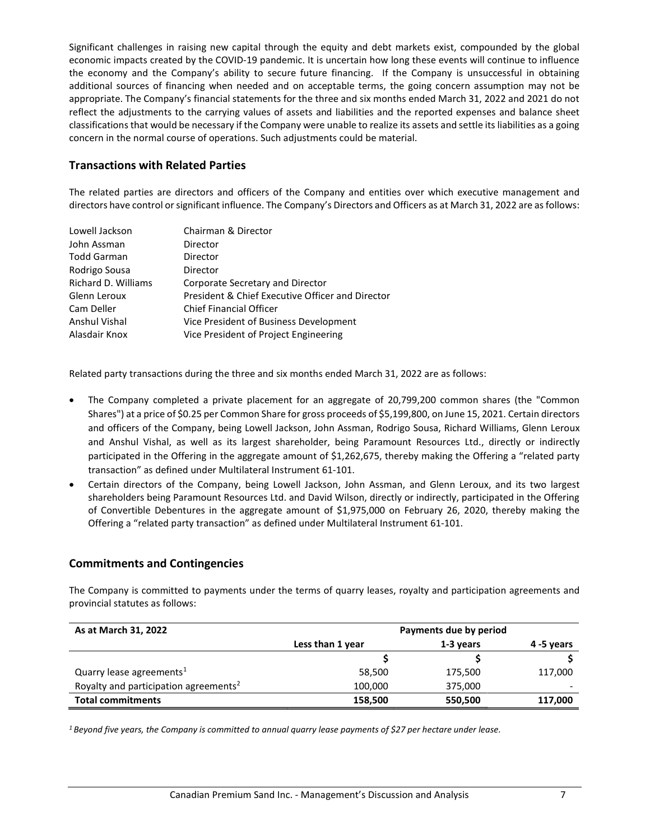Significant challenges in raising new capital through the equity and debt markets exist, compounded by the global economic impacts created by the COVID-19 pandemic. It is uncertain how long these events will continue to influence the economy and the Company's ability to secure future financing. If the Company is unsuccessful in obtaining additional sources of financing when needed and on acceptable terms, the going concern assumption may not be appropriate. The Company's financial statements for the three and six months ended March 31, 2022 and 2021 do not reflect the adjustments to the carrying values of assets and liabilities and the reported expenses and balance sheet classifications that would be necessary if the Company were unable to realize its assets and settle its liabilities as a going concern in the normal course of operations. Such adjustments could be material.

## Transactions with Related Parties

The related parties are directors and officers of the Company and entities over which executive management and directors have control or significant influence. The Company's Directors and Officers as at March 31, 2022 are as follows:

| Lowell Jackson      | Chairman & Director                              |
|---------------------|--------------------------------------------------|
| John Assman         | Director                                         |
| <b>Todd Garman</b>  | Director                                         |
| Rodrigo Sousa       | Director                                         |
| Richard D. Williams | Corporate Secretary and Director                 |
| Glenn Leroux        | President & Chief Executive Officer and Director |
| Cam Deller          | <b>Chief Financial Officer</b>                   |
| Anshul Vishal       | Vice President of Business Development           |
| Alasdair Knox       | Vice President of Project Engineering            |

Related party transactions during the three and six months ended March 31, 2022 are as follows:

- The Company completed a private placement for an aggregate of 20,799,200 common shares (the "Common Shares") at a price of \$0.25 per Common Share for gross proceeds of \$5,199,800, on June 15, 2021. Certain directors and officers of the Company, being Lowell Jackson, John Assman, Rodrigo Sousa, Richard Williams, Glenn Leroux and Anshul Vishal, as well as its largest shareholder, being Paramount Resources Ltd., directly or indirectly participated in the Offering in the aggregate amount of \$1,262,675, thereby making the Offering a "related party transaction" as defined under Multilateral Instrument 61-101.
- Certain directors of the Company, being Lowell Jackson, John Assman, and Glenn Leroux, and its two largest shareholders being Paramount Resources Ltd. and David Wilson, directly or indirectly, participated in the Offering of Convertible Debentures in the aggregate amount of \$1,975,000 on February 26, 2020, thereby making the Offering a "related party transaction" as defined under Multilateral Instrument 61-101.

## Commitments and Contingencies

The Company is committed to payments under the terms of quarry leases, royalty and participation agreements and provincial statutes as follows:

| As at March 31, 2022                              | Payments due by period |           |            |  |
|---------------------------------------------------|------------------------|-----------|------------|--|
|                                                   | Less than 1 year       | 1-3 years | 4 -5 years |  |
|                                                   |                        |           |            |  |
| Quarry lease agreements $1$                       | 58,500                 | 175,500   | 117,000    |  |
| Royalty and participation agreements <sup>2</sup> | 100,000                | 375,000   |            |  |
| <b>Total commitments</b>                          | 158,500                | 550,500   | 117,000    |  |

1 Beyond five years, the Company is committed to annual quarry lease payments of \$27 per hectare under lease.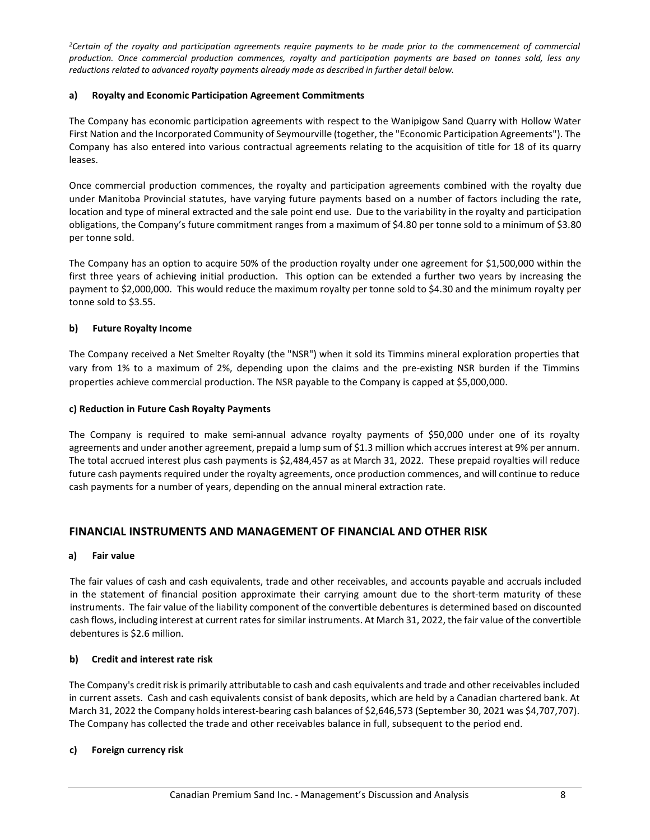<sup>2</sup>Certain of the royalty and participation agreements require payments to be made prior to the commencement of commercial production. Once commercial production commences, royalty and participation payments are based on tonnes sold, less any reductions related to advanced royalty payments already made as described in further detail below.

#### a) Royalty and Economic Participation Agreement Commitments

The Company has economic participation agreements with respect to the Wanipigow Sand Quarry with Hollow Water First Nation and the Incorporated Community of Seymourville (together, the "Economic Participation Agreements"). The Company has also entered into various contractual agreements relating to the acquisition of title for 18 of its quarry leases.

Once commercial production commences, the royalty and participation agreements combined with the royalty due under Manitoba Provincial statutes, have varying future payments based on a number of factors including the rate, location and type of mineral extracted and the sale point end use. Due to the variability in the royalty and participation obligations, the Company's future commitment ranges from a maximum of \$4.80 per tonne sold to a minimum of \$3.80 per tonne sold.

The Company has an option to acquire 50% of the production royalty under one agreement for \$1,500,000 within the first three years of achieving initial production. This option can be extended a further two years by increasing the payment to \$2,000,000. This would reduce the maximum royalty per tonne sold to \$4.30 and the minimum royalty per tonne sold to \$3.55.

## b) Future Royalty Income

The Company received a Net Smelter Royalty (the "NSR") when it sold its Timmins mineral exploration properties that vary from 1% to a maximum of 2%, depending upon the claims and the pre-existing NSR burden if the Timmins properties achieve commercial production. The NSR payable to the Company is capped at \$5,000,000.

#### c) Reduction in Future Cash Royalty Payments

The Company is required to make semi-annual advance royalty payments of \$50,000 under one of its royalty agreements and under another agreement, prepaid a lump sum of \$1.3 million which accrues interest at 9% per annum. The total accrued interest plus cash payments is \$2,484,457 as at March 31, 2022. These prepaid royalties will reduce future cash payments required under the royalty agreements, once production commences, and will continue to reduce cash payments for a number of years, depending on the annual mineral extraction rate.

## FINANCIAL INSTRUMENTS AND MANAGEMENT OF FINANCIAL AND OTHER RISK

#### a) Fair value

The fair values of cash and cash equivalents, trade and other receivables, and accounts payable and accruals included in the statement of financial position approximate their carrying amount due to the short-term maturity of these instruments. The fair value of the liability component of the convertible debentures is determined based on discounted cash flows, including interest at current rates for similar instruments. At March 31, 2022, the fair value of the convertible debentures is \$2.6 million.

## b) Credit and interest rate risk

The Company's credit risk is primarily attributable to cash and cash equivalents and trade and other receivables included in current assets. Cash and cash equivalents consist of bank deposits, which are held by a Canadian chartered bank. At March 31, 2022 the Company holds interest-bearing cash balances of \$2,646,573 (September 30, 2021 was \$4,707,707). The Company has collected the trade and other receivables balance in full, subsequent to the period end.

## c) Foreign currency risk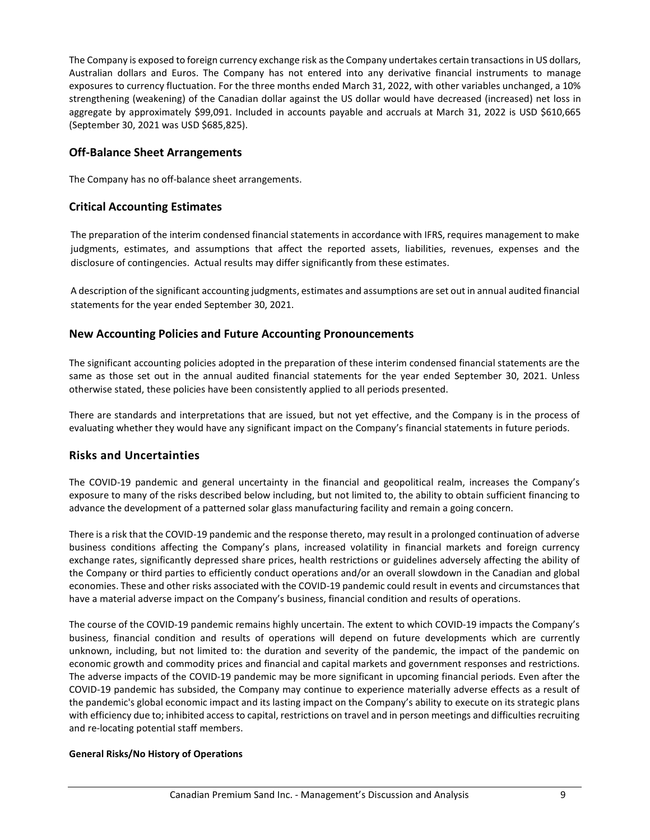The Company is exposed to foreign currency exchange risk as the Company undertakes certain transactions in US dollars, Australian dollars and Euros. The Company has not entered into any derivative financial instruments to manage exposures to currency fluctuation. For the three months ended March 31, 2022, with other variables unchanged, a 10% strengthening (weakening) of the Canadian dollar against the US dollar would have decreased (increased) net loss in aggregate by approximately \$99,091. Included in accounts payable and accruals at March 31, 2022 is USD \$610,665 (September 30, 2021 was USD \$685,825).

## Off-Balance Sheet Arrangements

The Company has no off-balance sheet arrangements.

## Critical Accounting Estimates

The preparation of the interim condensed financial statements in accordance with IFRS, requires management to make judgments, estimates, and assumptions that affect the reported assets, liabilities, revenues, expenses and the disclosure of contingencies. Actual results may differ significantly from these estimates.

A description of the significant accounting judgments, estimates and assumptions are set out in annual audited financial statements for the year ended September 30, 2021.

## New Accounting Policies and Future Accounting Pronouncements

The significant accounting policies adopted in the preparation of these interim condensed financial statements are the same as those set out in the annual audited financial statements for the year ended September 30, 2021. Unless otherwise stated, these policies have been consistently applied to all periods presented.

There are standards and interpretations that are issued, but not yet effective, and the Company is in the process of evaluating whether they would have any significant impact on the Company's financial statements in future periods.

## Risks and Uncertainties

The COVID-19 pandemic and general uncertainty in the financial and geopolitical realm, increases the Company's exposure to many of the risks described below including, but not limited to, the ability to obtain sufficient financing to advance the development of a patterned solar glass manufacturing facility and remain a going concern.

There is a risk that the COVID-19 pandemic and the response thereto, may result in a prolonged continuation of adverse business conditions affecting the Company's plans, increased volatility in financial markets and foreign currency exchange rates, significantly depressed share prices, health restrictions or guidelines adversely affecting the ability of the Company or third parties to efficiently conduct operations and/or an overall slowdown in the Canadian and global economies. These and other risks associated with the COVID-19 pandemic could result in events and circumstances that have a material adverse impact on the Company's business, financial condition and results of operations.

The course of the COVID-19 pandemic remains highly uncertain. The extent to which COVID-19 impacts the Company's business, financial condition and results of operations will depend on future developments which are currently unknown, including, but not limited to: the duration and severity of the pandemic, the impact of the pandemic on economic growth and commodity prices and financial and capital markets and government responses and restrictions. The adverse impacts of the COVID-19 pandemic may be more significant in upcoming financial periods. Even after the COVID-19 pandemic has subsided, the Company may continue to experience materially adverse effects as a result of the pandemic's global economic impact and its lasting impact on the Company's ability to execute on its strategic plans with efficiency due to; inhibited access to capital, restrictions on travel and in person meetings and difficulties recruiting and re-locating potential staff members.

## General Risks/No History of Operations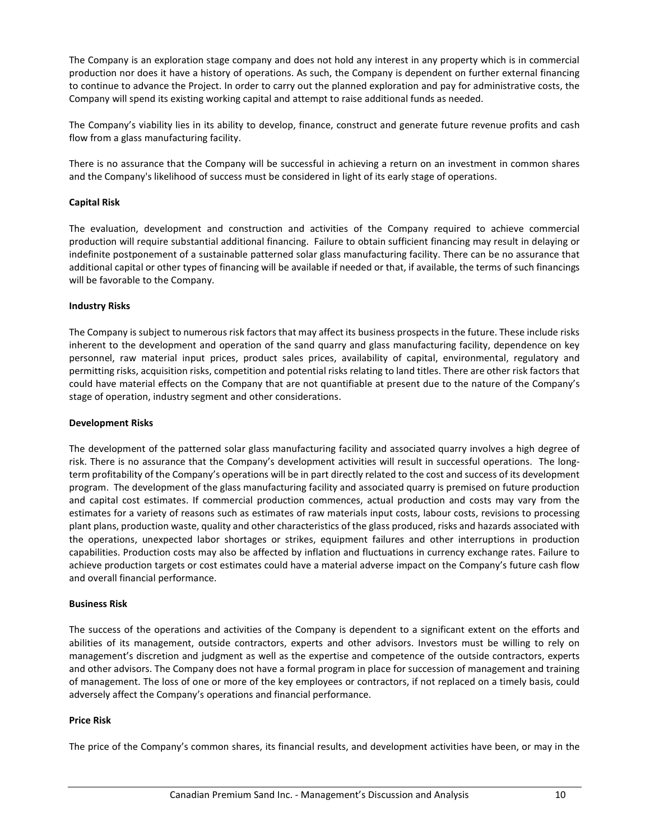The Company is an exploration stage company and does not hold any interest in any property which is in commercial production nor does it have a history of operations. As such, the Company is dependent on further external financing to continue to advance the Project. In order to carry out the planned exploration and pay for administrative costs, the Company will spend its existing working capital and attempt to raise additional funds as needed.

The Company's viability lies in its ability to develop, finance, construct and generate future revenue profits and cash flow from a glass manufacturing facility.

There is no assurance that the Company will be successful in achieving a return on an investment in common shares and the Company's likelihood of success must be considered in light of its early stage of operations.

#### Capital Risk

The evaluation, development and construction and activities of the Company required to achieve commercial production will require substantial additional financing. Failure to obtain sufficient financing may result in delaying or indefinite postponement of a sustainable patterned solar glass manufacturing facility. There can be no assurance that additional capital or other types of financing will be available if needed or that, if available, the terms of such financings will be favorable to the Company.

#### Industry Risks

The Company is subject to numerous risk factors that may affect its business prospects in the future. These include risks inherent to the development and operation of the sand quarry and glass manufacturing facility, dependence on key personnel, raw material input prices, product sales prices, availability of capital, environmental, regulatory and permitting risks, acquisition risks, competition and potential risks relating to land titles. There are other risk factors that could have material effects on the Company that are not quantifiable at present due to the nature of the Company's stage of operation, industry segment and other considerations.

#### Development Risks

The development of the patterned solar glass manufacturing facility and associated quarry involves a high degree of risk. There is no assurance that the Company's development activities will result in successful operations. The longterm profitability of the Company's operations will be in part directly related to the cost and success of its development program. The development of the glass manufacturing facility and associated quarry is premised on future production and capital cost estimates. If commercial production commences, actual production and costs may vary from the estimates for a variety of reasons such as estimates of raw materials input costs, labour costs, revisions to processing plant plans, production waste, quality and other characteristics of the glass produced, risks and hazards associated with the operations, unexpected labor shortages or strikes, equipment failures and other interruptions in production capabilities. Production costs may also be affected by inflation and fluctuations in currency exchange rates. Failure to achieve production targets or cost estimates could have a material adverse impact on the Company's future cash flow and overall financial performance.

#### Business Risk

The success of the operations and activities of the Company is dependent to a significant extent on the efforts and abilities of its management, outside contractors, experts and other advisors. Investors must be willing to rely on management's discretion and judgment as well as the expertise and competence of the outside contractors, experts and other advisors. The Company does not have a formal program in place for succession of management and training of management. The loss of one or more of the key employees or contractors, if not replaced on a timely basis, could adversely affect the Company's operations and financial performance.

#### Price Risk

The price of the Company's common shares, its financial results, and development activities have been, or may in the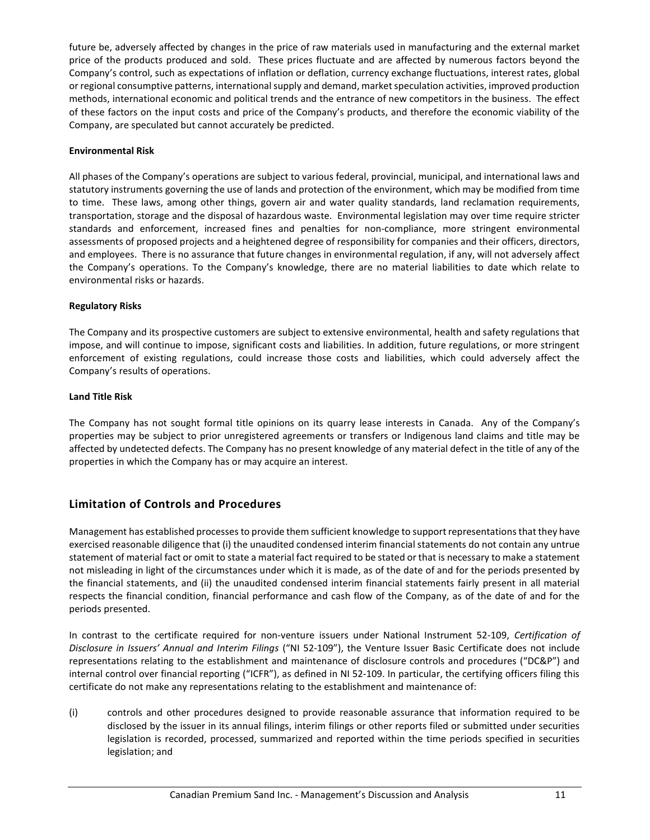future be, adversely affected by changes in the price of raw materials used in manufacturing and the external market price of the products produced and sold. These prices fluctuate and are affected by numerous factors beyond the Company's control, such as expectations of inflation or deflation, currency exchange fluctuations, interest rates, global or regional consumptive patterns, international supply and demand, market speculation activities, improved production methods, international economic and political trends and the entrance of new competitors in the business. The effect of these factors on the input costs and price of the Company's products, and therefore the economic viability of the Company, are speculated but cannot accurately be predicted.

#### Environmental Risk

All phases of the Company's operations are subject to various federal, provincial, municipal, and international laws and statutory instruments governing the use of lands and protection of the environment, which may be modified from time to time. These laws, among other things, govern air and water quality standards, land reclamation requirements, transportation, storage and the disposal of hazardous waste. Environmental legislation may over time require stricter standards and enforcement, increased fines and penalties for non-compliance, more stringent environmental assessments of proposed projects and a heightened degree of responsibility for companies and their officers, directors, and employees. There is no assurance that future changes in environmental regulation, if any, will not adversely affect the Company's operations. To the Company's knowledge, there are no material liabilities to date which relate to environmental risks or hazards.

#### Regulatory Risks

The Company and its prospective customers are subject to extensive environmental, health and safety regulations that impose, and will continue to impose, significant costs and liabilities. In addition, future regulations, or more stringent enforcement of existing regulations, could increase those costs and liabilities, which could adversely affect the Company's results of operations.

#### Land Title Risk

The Company has not sought formal title opinions on its quarry lease interests in Canada. Any of the Company's properties may be subject to prior unregistered agreements or transfers or Indigenous land claims and title may be affected by undetected defects. The Company has no present knowledge of any material defect in the title of any of the properties in which the Company has or may acquire an interest.

## Limitation of Controls and Procedures

Management has established processes to provide them sufficient knowledge to support representations that they have exercised reasonable diligence that (i) the unaudited condensed interim financial statements do not contain any untrue statement of material fact or omit to state a material fact required to be stated or that is necessary to make a statement not misleading in light of the circumstances under which it is made, as of the date of and for the periods presented by the financial statements, and (ii) the unaudited condensed interim financial statements fairly present in all material respects the financial condition, financial performance and cash flow of the Company, as of the date of and for the periods presented.

In contrast to the certificate required for non-venture issuers under National Instrument 52-109, Certification of Disclosure in Issuers' Annual and Interim Filings ("NI 52-109"), the Venture Issuer Basic Certificate does not include representations relating to the establishment and maintenance of disclosure controls and procedures ("DC&P") and internal control over financial reporting ("ICFR"), as defined in NI 52-109. In particular, the certifying officers filing this certificate do not make any representations relating to the establishment and maintenance of:

(i) controls and other procedures designed to provide reasonable assurance that information required to be disclosed by the issuer in its annual filings, interim filings or other reports filed or submitted under securities legislation is recorded, processed, summarized and reported within the time periods specified in securities legislation; and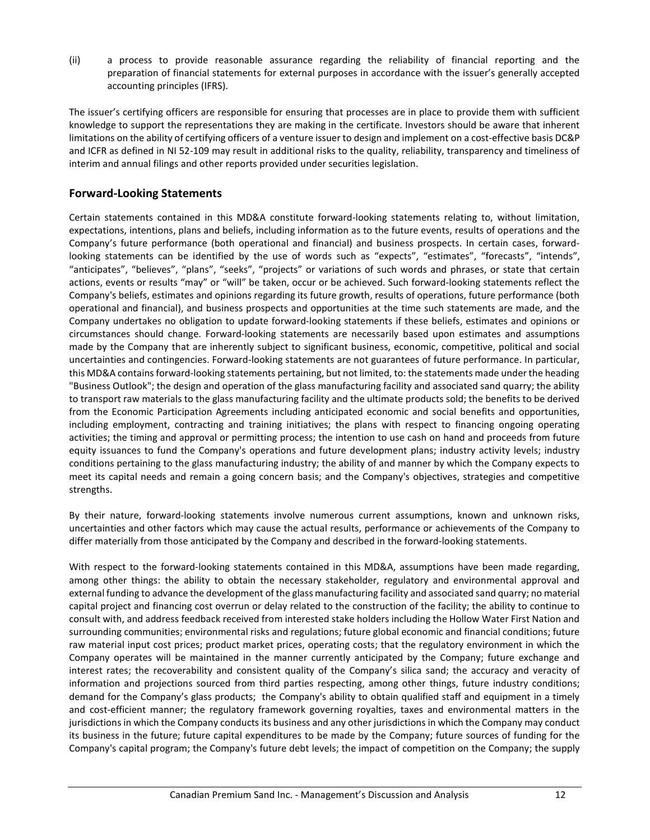(ii) a process to provide reasonable assurance regarding the reliability of financial reporting and the preparation of financial statements for external purposes in accordance with the issuer's generally accepted accounting principles (IFRS).

The issuer's certifying officers are responsible for ensuring that processes are in place to provide them with sufficient knowledge to support the representations they are making in the certificate. Investors should be aware that inherent limitations on the ability of certifying officers of a venture issuer to design and implement on a cost-effective basis DC&P and ICFR as defined in NI 52-109 may result in additional risks to the quality, reliability, transparency and timeliness of interim and annual filings and other reports provided under securities legislation.

## Forward-Looking Statements

Certain statements contained in this MD&A constitute forward-looking statements relating to, without limitation, expectations, intentions, plans and beliefs, including information as to the future events, results of operations and the Company's future performance (both operational and financial) and business prospects. In certain cases, forwardlooking statements can be identified by the use of words such as "expects", "estimates", "forecasts", "intends", "anticipates", "believes", "plans", "seeks", "projects" or variations of such words and phrases, or state that certain actions, events or results "may" or "will" be taken, occur or be achieved. Such forward-looking statements reflect the Company's beliefs, estimates and opinions regarding its future growth, results of operations, future performance (both operational and financial), and business prospects and opportunities at the time such statements are made, and the Company undertakes no obligation to update forward-looking statements if these beliefs, estimates and opinions or circumstances should change. Forward-looking statements are necessarily based upon estimates and assumptions made by the Company that are inherently subject to significant business, economic, competitive, political and social uncertainties and contingencies. Forward-looking statements are not guarantees of future performance. In particular, this MD&A contains forward-looking statements pertaining, but not limited, to: the statements made under the heading "Business Outlook"; the design and operation of the glass manufacturing facility and associated sand quarry; the ability to transport raw materials to the glass manufacturing facility and the ultimate products sold; the benefits to be derived from the Economic Participation Agreements including anticipated economic and social benefits and opportunities, including employment, contracting and training initiatives; the plans with respect to financing ongoing operating activities; the timing and approval or permitting process; the intention to use cash on hand and proceeds from future equity issuances to fund the Company's operations and future development plans; industry activity levels; industry conditions pertaining to the glass manufacturing industry; the ability of and manner by which the Company expects to meet its capital needs and remain a going concern basis; and the Company's objectives, strategies and competitive strengths.

By their nature, forward-looking statements involve numerous current assumptions, known and unknown risks, uncertainties and other factors which may cause the actual results, performance or achievements of the Company to differ materially from those anticipated by the Company and described in the forward-looking statements.

With respect to the forward-looking statements contained in this MD&A, assumptions have been made regarding, among other things: the ability to obtain the necessary stakeholder, regulatory and environmental approval and external funding to advance the development of the glass manufacturing facility and associated sand quarry; no material capital project and financing cost overrun or delay related to the construction of the facility; the ability to continue to consult with, and address feedback received from interested stake holders including the Hollow Water First Nation and surrounding communities; environmental risks and regulations; future global economic and financial conditions; future raw material input cost prices; product market prices, operating costs; that the regulatory environment in which the Company operates will be maintained in the manner currently anticipated by the Company; future exchange and interest rates; the recoverability and consistent quality of the Company's silica sand; the accuracy and veracity of information and projections sourced from third parties respecting, among other things, future industry conditions; demand for the Company's glass products; the Company's ability to obtain qualified staff and equipment in a timely and cost-efficient manner; the regulatory framework governing royalties, taxes and environmental matters in the jurisdictions in which the Company conducts its business and any other jurisdictions in which the Company may conduct its business in the future; future capital expenditures to be made by the Company; future sources of funding for the Company's capital program; the Company's future debt levels; the impact of competition on the Company; the supply